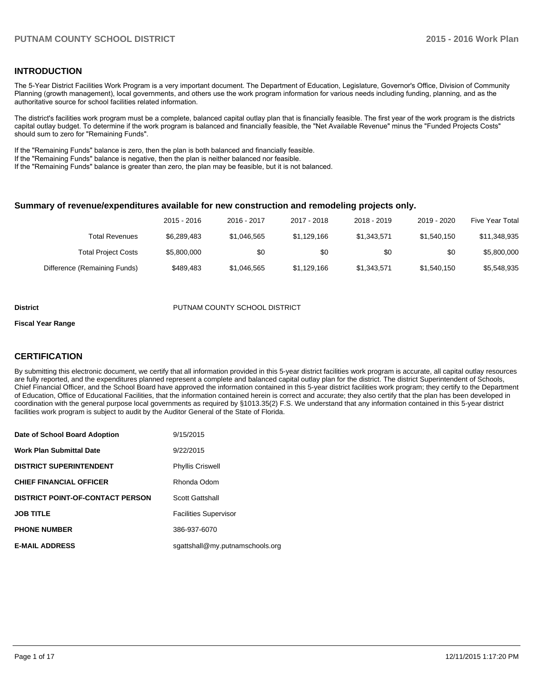# **INTRODUCTION**

The 5-Year District Facilities Work Program is a very important document. The Department of Education, Legislature, Governor's Office, Division of Community Planning (growth management), local governments, and others use the work program information for various needs including funding, planning, and as the authoritative source for school facilities related information.

The district's facilities work program must be a complete, balanced capital outlay plan that is financially feasible. The first year of the work program is the districts capital outlay budget. To determine if the work program is balanced and financially feasible, the "Net Available Revenue" minus the "Funded Projects Costs" should sum to zero for "Remaining Funds".

If the "Remaining Funds" balance is zero, then the plan is both balanced and financially feasible.

If the "Remaining Funds" balance is negative, then the plan is neither balanced nor feasible.

If the "Remaining Funds" balance is greater than zero, the plan may be feasible, but it is not balanced.

#### **Summary of revenue/expenditures available for new construction and remodeling projects only.**

|                              | 2015 - 2016 | 2016 - 2017 | 2017 - 2018 | 2018 - 2019 | 2019 - 2020 | Five Year Total |
|------------------------------|-------------|-------------|-------------|-------------|-------------|-----------------|
| Total Revenues               | \$6,289,483 | \$1,046,565 | \$1,129,166 | \$1,343,571 | \$1,540,150 | \$11,348,935    |
| <b>Total Project Costs</b>   | \$5,800,000 | \$0         | \$0         | \$0         | \$0         | \$5,800,000     |
| Difference (Remaining Funds) | \$489.483   | \$1,046,565 | \$1,129,166 | \$1,343,571 | \$1,540,150 | \$5,548,935     |

#### **District COUNTY SCHOOL DISTRICT**

#### **Fiscal Year Range**

# **CERTIFICATION**

By submitting this electronic document, we certify that all information provided in this 5-year district facilities work program is accurate, all capital outlay resources are fully reported, and the expenditures planned represent a complete and balanced capital outlay plan for the district. The district Superintendent of Schools, Chief Financial Officer, and the School Board have approved the information contained in this 5-year district facilities work program; they certify to the Department of Education, Office of Educational Facilities, that the information contained herein is correct and accurate; they also certify that the plan has been developed in coordination with the general purpose local governments as required by §1013.35(2) F.S. We understand that any information contained in this 5-year district facilities work program is subject to audit by the Auditor General of the State of Florida.

| Date of School Board Adoption           | 9/15/2015                       |
|-----------------------------------------|---------------------------------|
| <b>Work Plan Submittal Date</b>         | 9/22/2015                       |
| <b>DISTRICT SUPERINTENDENT</b>          | <b>Phyllis Criswell</b>         |
| <b>CHIEF FINANCIAL OFFICER</b>          | Rhonda Odom                     |
| <b>DISTRICT POINT-OF-CONTACT PERSON</b> | <b>Scott Gattshall</b>          |
| <b>JOB TITLE</b>                        | <b>Facilities Supervisor</b>    |
| <b>PHONE NUMBER</b>                     | 386-937-6070                    |
| <b>E-MAIL ADDRESS</b>                   | sgattshall@my.putnamschools.org |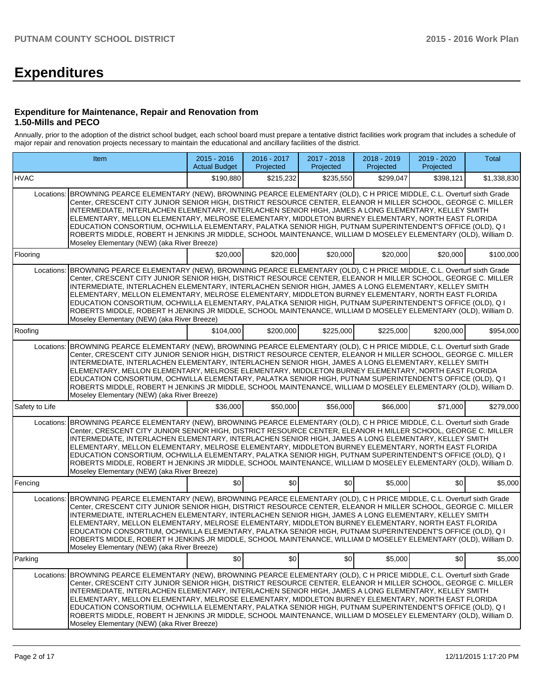# **Expenditures**

#### **Expenditure for Maintenance, Repair and Renovation from 1.50-Mills and PECO**

Annually, prior to the adoption of the district school budget, each school board must prepare a tentative district facilities work program that includes a schedule of major repair and renovation projects necessary to maintain the educational and ancillary facilities of the district.

|                | Item                                                                                                                                                                                                                                                                                                                                                                                                                                                                                                                                                                                                                                                                                                                         | $2015 - 2016$<br><b>Actual Budget</b> | 2016 - 2017<br>Projected | 2017 - 2018<br>Projected | 2018 - 2019<br>Projected | 2019 - 2020<br>Projected | <b>Total</b> |
|----------------|------------------------------------------------------------------------------------------------------------------------------------------------------------------------------------------------------------------------------------------------------------------------------------------------------------------------------------------------------------------------------------------------------------------------------------------------------------------------------------------------------------------------------------------------------------------------------------------------------------------------------------------------------------------------------------------------------------------------------|---------------------------------------|--------------------------|--------------------------|--------------------------|--------------------------|--------------|
| <b>HVAC</b>    |                                                                                                                                                                                                                                                                                                                                                                                                                                                                                                                                                                                                                                                                                                                              | \$190,880                             | \$215.232                | \$235,550                | \$299,047                | \$398,121                | \$1,338,830  |
| Locations:     | BROWNING PEARCE ELEMENTARY (NEW), BROWNING PEARCE ELEMENTARY (OLD), C H PRICE MIDDLE, C.L. Overturf sixth Grade<br>Center. CRESCENT CITY JUNIOR SENIOR HIGH. DISTRICT RESOURCE CENTER. ELEANOR H MILLER SCHOOL. GEORGE C. MILLER<br>INTERMEDIATE, INTERLACHEN ELEMENTARY, INTERLACHEN SENIOR HIGH, JAMES A LONG ELEMENTARY, KELLEY SMITH<br>ELEMENTARY, MELLON ELEMENTARY, MELROSE ELEMENTARY, MIDDLETON BURNEY ELEMENTARY, NORTH EAST FLORIDA<br>EDUCATION CONSORTIUM, OCHWILLA ELEMENTARY, PALATKA SENIOR HIGH, PUTNAM SUPERINTENDENT'S OFFICE (OLD), Q I<br>ROBERTS MIDDLE, ROBERT H JENKINS JR MIDDLE, SCHOOL MAINTENANCE, WILLIAM D MOSELEY ELEMENTARY (OLD), William D.<br>Moseley Elementary (NEW) (aka River Breeze) |                                       |                          |                          |                          |                          |              |
| Flooring       |                                                                                                                                                                                                                                                                                                                                                                                                                                                                                                                                                                                                                                                                                                                              | \$20,000                              | \$20,000                 | \$20,000                 | \$20,000                 | \$20,000                 | \$100,000    |
| Locations:     | BROWNING PEARCE ELEMENTARY (NEW), BROWNING PEARCE ELEMENTARY (OLD), C H PRICE MIDDLE, C.L. Overturf sixth Grade<br>Center, CRESCENT CITY JUNIOR SENIOR HIGH, DISTRICT RESOURCE CENTER, ELEANOR H MILLER SCHOOL, GEORGE C. MILLER<br>INTERMEDIATE, INTERLACHEN ELEMENTARY, INTERLACHEN SENIOR HIGH, JAMES A LONG ELEMENTARY, KELLEY SMITH<br>ELEMENTARY, MELLON ELEMENTARY, MELROSE ELEMENTARY, MIDDLETON BURNEY ELEMENTARY, NORTH EAST FLORIDA<br>EDUCATION CONSORTIUM, OCHWILLA ELEMENTARY, PALATKA SENIOR HIGH, PUTNAM SUPERINTENDENT'S OFFICE (OLD), Q I<br>ROBERTS MIDDLE, ROBERT H JENKINS JR MIDDLE, SCHOOL MAINTENANCE, WILLIAM D MOSELEY ELEMENTARY (OLD), William D.<br>Moseley Elementary (NEW) (aka River Breeze) |                                       |                          |                          |                          |                          |              |
| Roofing        |                                                                                                                                                                                                                                                                                                                                                                                                                                                                                                                                                                                                                                                                                                                              | \$104,000                             | \$200,000                | \$225,000                | \$225,000                | \$200,000                | \$954,000    |
| Locations:     | BROWNING PEARCE ELEMENTARY (NEW), BROWNING PEARCE ELEMENTARY (OLD), C H PRICE MIDDLE, C.L. Overturf sixth Grade<br>Center, CRESCENT CITY JUNIOR SENIOR HIGH, DISTRICT RESOURCE CENTER, ELEANOR H MILLER SCHOOL, GEORGE C. MILLER<br>INTERMEDIATE, INTERLACHEN ELEMENTARY, INTERLACHEN SENIOR HIGH, JAMES A LONG ELEMENTARY, KELLEY SMITH<br>ELEMENTARY, MELLON ELEMENTARY, MELROSE ELEMENTARY, MIDDLETON BURNEY ELEMENTARY, NORTH EAST FLORIDA<br>EDUCATION CONSORTIUM, OCHWILLA ELEMENTARY, PALATKA SENIOR HIGH, PUTNAM SUPERINTENDENT'S OFFICE (OLD), Q I<br>ROBERTS MIDDLE, ROBERT H JENKINS JR MIDDLE, SCHOOL MAINTENANCE, WILLIAM D MOSELEY ELEMENTARY (OLD), William D.<br>Moseley Elementary (NEW) (aka River Breeze) |                                       |                          |                          |                          |                          |              |
| Safety to Life |                                                                                                                                                                                                                                                                                                                                                                                                                                                                                                                                                                                                                                                                                                                              | \$36,000                              | \$50,000                 | \$56,000                 | \$66,000                 | \$71,000                 | \$279,000    |
| Locations:     | BROWNING PEARCE ELEMENTARY (NEW), BROWNING PEARCE ELEMENTARY (OLD), C H PRICE MIDDLE, C.L. Overturf sixth Grade<br>Center, CRESCENT CITY JUNIOR SENIOR HIGH, DISTRICT RESOURCE CENTER, ELEANOR H MILLER SCHOOL, GEORGE C. MILLER<br>INTERMEDIATE, INTERLACHEN ELEMENTARY, INTERLACHEN SENIOR HIGH, JAMES A LONG ELEMENTARY, KELLEY SMITH<br>ELEMENTARY, MELLON ELEMENTARY, MELROSE ELEMENTARY, MIDDLETON BURNEY ELEMENTARY, NORTH EAST FLORIDA<br>EDUCATION CONSORTIUM, OCHWILLA ELEMENTARY, PALATKA SENIOR HIGH, PUTNAM SUPERINTENDENT'S OFFICE (OLD), Q I<br>ROBERTS MIDDLE, ROBERT H JENKINS JR MIDDLE, SCHOOL MAINTENANCE, WILLIAM D MOSELEY ELEMENTARY (OLD), William D.<br>Moseley Elementary (NEW) (aka River Breeze) |                                       |                          |                          |                          |                          |              |
| Fencing        |                                                                                                                                                                                                                                                                                                                                                                                                                                                                                                                                                                                                                                                                                                                              | ا 30                                  | \$0                      | \$0                      | \$5,000                  | \$0 <sub>1</sub>         | \$5,000      |
| Locations:     | BROWNING PEARCE ELEMENTARY (NEW), BROWNING PEARCE ELEMENTARY (OLD), C H PRICE MIDDLE, C.L. Overturf sixth Grade<br>Center, CRESCENT CITY JUNIOR SENIOR HIGH, DISTRICT RESOURCE CENTER, ELEANOR H MILLER SCHOOL, GEORGE C. MILLER<br>INTERMEDIATE, INTERLACHEN ELEMENTARY, INTERLACHEN SENIOR HIGH, JAMES A LONG ELEMENTARY, KELLEY SMITH<br>ELEMENTARY, MELLON ELEMENTARY, MELROSE ELEMENTARY, MIDDLETON BURNEY ELEMENTARY, NORTH EAST FLORIDA<br>EDUCATION CONSORTIUM, OCHWILLA ELEMENTARY, PALATKA SENIOR HIGH, PUTNAM SUPERINTENDENT'S OFFICE (OLD), Q I<br>ROBERTS MIDDLE, ROBERT H JENKINS JR MIDDLE, SCHOOL MAINTENANCE, WILLIAM D MOSELEY ELEMENTARY (OLD), William D.<br>Moseley Elementary (NEW) (aka River Breeze) |                                       |                          |                          |                          |                          |              |
| Parking        |                                                                                                                                                                                                                                                                                                                                                                                                                                                                                                                                                                                                                                                                                                                              | \$0                                   | \$0                      | \$0                      | \$5,000                  | \$0                      | \$5,000      |
| Locations:     | BROWNING PEARCE ELEMENTARY (NEW), BROWNING PEARCE ELEMENTARY (OLD), C H PRICE MIDDLE, C.L. Overturf sixth Grade<br>Center, CRESCENT CITY JUNIOR SENIOR HIGH, DISTRICT RESOURCE CENTER, ELEANOR H MILLER SCHOOL, GEORGE C, MILLER<br>INTERMEDIATE, INTERLACHEN ELEMENTARY, INTERLACHEN SENIOR HIGH, JAMES A LONG ELEMENTARY, KELLEY SMITH<br>ELEMENTARY, MELLON ELEMENTARY, MELROSE ELEMENTARY, MIDDLETON BURNEY ELEMENTARY, NORTH EAST FLORIDA<br>EDUCATION CONSORTIUM, OCHWILLA ELEMENTARY, PALATKA SENIOR HIGH, PUTNAM SUPERINTENDENT'S OFFICE (OLD), Q I<br>ROBERTS MIDDLE, ROBERT H JENKINS JR MIDDLE, SCHOOL MAINTENANCE, WILLIAM D MOSELEY ELEMENTARY (OLD), William D.<br>Moseley Elementary (NEW) (aka River Breeze) |                                       |                          |                          |                          |                          |              |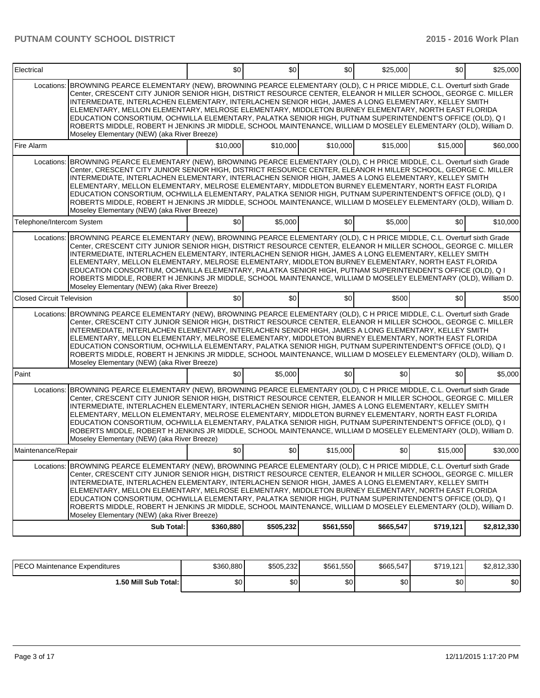| Electrical                       |                                                                                                                                                                                                                                                                                                                                                                                                                                                                                                                                                                                                                                                                                                                                         | \$0       | \$0       | \$0       | \$25,000  | \$0       | \$25,000    |
|----------------------------------|-----------------------------------------------------------------------------------------------------------------------------------------------------------------------------------------------------------------------------------------------------------------------------------------------------------------------------------------------------------------------------------------------------------------------------------------------------------------------------------------------------------------------------------------------------------------------------------------------------------------------------------------------------------------------------------------------------------------------------------------|-----------|-----------|-----------|-----------|-----------|-------------|
| Locations:                       | BROWNING PEARCE ELEMENTARY (NEW), BROWNING PEARCE ELEMENTARY (OLD), C H PRICE MIDDLE, C.L. Overturf sixth Grade<br>Center, CRESCENT CITY JUNIOR SENIOR HIGH, DISTRICT RESOURCE CENTER, ELEANOR H MILLER SCHOOL, GEORGE C. MILLER<br>INTERMEDIATE, INTERLACHEN ELEMENTARY, INTERLACHEN SENIOR HIGH, JAMES A LONG ELEMENTARY, KELLEY SMITH<br>ELEMENTARY, MELLON ELEMENTARY, MELROSE ELEMENTARY, MIDDLETON BURNEY ELEMENTARY, NORTH EAST FLORIDA<br>EDUCATION CONSORTIUM, OCHWILLA ELEMENTARY, PALATKA SENIOR HIGH, PUTNAM SUPERINTENDENT'S OFFICE (OLD), Q I<br>ROBERTS MIDDLE, ROBERT H JENKINS JR MIDDLE, SCHOOL MAINTENANCE, WILLIAM D MOSELEY ELEMENTARY (OLD), William D.<br>Moseley Elementary (NEW) (aka River Breeze)            |           |           |           |           |           |             |
| Fire Alarm                       |                                                                                                                                                                                                                                                                                                                                                                                                                                                                                                                                                                                                                                                                                                                                         | \$10,000  | \$10,000  | \$10,000  | \$15,000  | \$15,000  | \$60,000    |
| Locations:                       | BROWNING PEARCE ELEMENTARY (NEW), BROWNING PEARCE ELEMENTARY (OLD), C H PRICE MIDDLE, C.L. Overturf sixth Grade<br>Center, CRESCENT CITY JUNIOR SENIOR HIGH, DISTRICT RESOURCE CENTER, ELEANOR H MILLER SCHOOL, GEORGE C. MILLER<br>INTERMEDIATE, INTERLACHEN ELEMENTARY, INTERLACHEN SENIOR HIGH, JAMES A LONG ELEMENTARY, KELLEY SMITH<br>ELEMENTARY, MELLON ELEMENTARY, MELROSE ELEMENTARY, MIDDLETON BURNEY ELEMENTARY, NORTH EAST FLORIDA<br>EDUCATION CONSORTIUM, OCHWILLA ELEMENTARY, PALATKA SENIOR HIGH, PUTNAM SUPERINTENDENT'S OFFICE (OLD), Q I<br>ROBERTS MIDDLE, ROBERT H JENKINS JR MIDDLE, SCHOOL MAINTENANCE, WILLIAM D MOSELEY ELEMENTARY (OLD), William D.<br>Moseley Elementary (NEW) (aka River Breeze)            |           |           |           |           |           |             |
| Telephone/Intercom System        |                                                                                                                                                                                                                                                                                                                                                                                                                                                                                                                                                                                                                                                                                                                                         | \$0       | \$5,000   | \$0       | \$5,000   | \$0       | \$10,000    |
| Locations:                       | BROWNING PEARCE ELEMENTARY (NEW), BROWNING PEARCE ELEMENTARY (OLD), C H PRICE MIDDLE, C.L. Overturf sixth Grade<br>Center, CRESCENT CITY JUNIOR SENIOR HIGH, DISTRICT RESOURCE CENTER, ELEANOR H MILLER SCHOOL, GEORGE C. MILLER<br>INTERMEDIATE, INTERLACHEN ELEMENTARY, INTERLACHEN SENIOR HIGH, JAMES A LONG ELEMENTARY, KELLEY SMITH<br>ELEMENTARY, MELLON ELEMENTARY, MELROSE ELEMENTARY, MIDDLETON BURNEY ELEMENTARY, NORTH EAST FLORIDA<br>EDUCATION CONSORTIUM, OCHWILLA ELEMENTARY, PALATKA SENIOR HIGH, PUTNAM SUPERINTENDENT'S OFFICE (OLD), Q I<br>ROBERTS MIDDLE, ROBERT H JENKINS JR MIDDLE, SCHOOL MAINTENANCE, WILLIAM D MOSELEY ELEMENTARY (OLD), William D.<br>Moseley Elementary (NEW) (aka River Breeze)            |           |           |           |           |           |             |
| <b>Closed Circuit Television</b> |                                                                                                                                                                                                                                                                                                                                                                                                                                                                                                                                                                                                                                                                                                                                         | \$0       | \$0       | \$0       | \$500     | \$0       | \$500       |
|                                  | Locations: BROWNING PEARCE ELEMENTARY (NEW), BROWNING PEARCE ELEMENTARY (OLD), C H PRICE MIDDLE, C.L. Overturf sixth Grade<br>Center, CRESCENT CITY JUNIOR SENIOR HIGH, DISTRICT RESOURCE CENTER, ELEANOR H MILLER SCHOOL, GEORGE C. MILLER<br>INTERMEDIATE, INTERLACHEN ELEMENTARY, INTERLACHEN SENIOR HIGH, JAMES A LONG ELEMENTARY, KELLEY SMITH<br>ELEMENTARY, MELLON ELEMENTARY, MELROSE ELEMENTARY, MIDDLETON BURNEY ELEMENTARY, NORTH EAST FLORIDA<br>EDUCATION CONSORTIUM, OCHWILLA ELEMENTARY, PALATKA SENIOR HIGH, PUTNAM SUPERINTENDENT'S OFFICE (OLD), Q I<br>ROBERTS MIDDLE, ROBERT H JENKINS JR MIDDLE, SCHOOL MAINTENANCE, WILLIAM D MOSELEY ELEMENTARY (OLD), William D.<br>Moseley Elementary (NEW) (aka River Breeze) |           |           |           |           |           |             |
| Paint                            |                                                                                                                                                                                                                                                                                                                                                                                                                                                                                                                                                                                                                                                                                                                                         | \$0       | \$5,000   | \$0       | \$0       | \$0       | \$5,000     |
| Locations:                       | BROWNING PEARCE ELEMENTARY (NEW), BROWNING PEARCE ELEMENTARY (OLD), C H PRICE MIDDLE, C.L. Overturf sixth Grade<br>Center, CRESCENT CITY JUNIOR SENIOR HIGH, DISTRICT RESOURCE CENTER, ELEANOR H MILLER SCHOOL, GEORGE C. MILLER<br>INTERMEDIATE, INTERLACHEN ELEMENTARY, INTERLACHEN SENIOR HIGH, JAMES A LONG ELEMENTARY, KELLEY SMITH<br>ELEMENTARY, MELLON ELEMENTARY, MELROSE ELEMENTARY, MIDDLETON BURNEY ELEMENTARY, NORTH EAST FLORIDA<br>EDUCATION CONSORTIUM, OCHWILLA ELEMENTARY, PALATKA SENIOR HIGH, PUTNAM SUPERINTENDENT'S OFFICE (OLD), Q I<br>ROBERTS MIDDLE, ROBERT H JENKINS JR MIDDLE, SCHOOL MAINTENANCE, WILLIAM D MOSELEY ELEMENTARY (OLD), William D.<br>Moseley Elementary (NEW) (aka River Breeze)            |           |           |           |           |           |             |
| Maintenance/Repair               |                                                                                                                                                                                                                                                                                                                                                                                                                                                                                                                                                                                                                                                                                                                                         | \$0       | \$0       | \$15,000  | \$0       | \$15,000  | \$30,000    |
| Locations:                       | BROWNING PEARCE ELEMENTARY (NEW), BROWNING PEARCE ELEMENTARY (OLD), C H PRICE MIDDLE, C.L. Overturf sixth Grade<br>Center. CRESCENT CITY JUNIOR SENIOR HIGH. DISTRICT RESOURCE CENTER. ELEANOR H MILLER SCHOOL. GEORGE C. MILLER<br>INTERMEDIATE, INTERLACHEN ELEMENTARY, INTERLACHEN SENIOR HIGH, JAMES A LONG ELEMENTARY, KELLEY SMITH<br>ELEMENTARY, MELLON ELEMENTARY, MELROSE ELEMENTARY, MIDDLETON BURNEY ELEMENTARY, NORTH EAST FLORIDA<br>EDUCATION CONSORTIUM, OCHWILLA ELEMENTARY, PALATKA SENIOR HIGH, PUTNAM SUPERINTENDENT'S OFFICE (OLD), Q I<br>ROBERTS MIDDLE, ROBERT H JENKINS JR MIDDLE, SCHOOL MAINTENANCE, WILLIAM D MOSELEY ELEMENTARY (OLD), William D.<br>Moseley Elementary (NEW) (aka River Breeze)            |           |           |           |           |           |             |
|                                  | <b>Sub Total:</b>                                                                                                                                                                                                                                                                                                                                                                                                                                                                                                                                                                                                                                                                                                                       | \$360,880 | \$505,232 | \$561,550 | \$665,547 | \$719,121 | \$2,812,330 |

| <b>IPECO Maintenance Expenditures</b> | \$360,880 | \$505.232 | \$561,550 | \$665,547 | \$719.121 | \$2,812,330  |
|---------------------------------------|-----------|-----------|-----------|-----------|-----------|--------------|
| 1.50 Mill Sub Total: I                | ሶስ<br>ъU  | \$0       | ΦΩ<br>ΦU  | n o<br>Ψυ | \$0       | $\sim$<br>ΦU |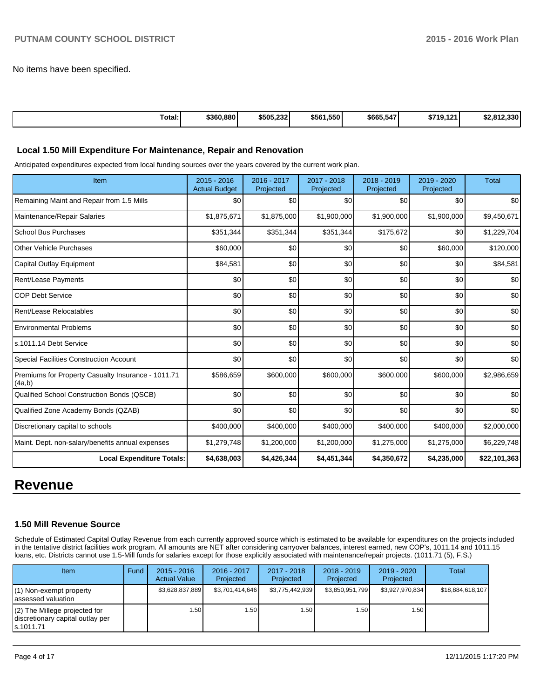No items have been specified.

| Total: | \$360,880 | \$505,232 | \$561,550 | \$665,547 | \$719.121 | \$2.812.330 |
|--------|-----------|-----------|-----------|-----------|-----------|-------------|
|--------|-----------|-----------|-----------|-----------|-----------|-------------|

#### **Local 1.50 Mill Expenditure For Maintenance, Repair and Renovation**

Anticipated expenditures expected from local funding sources over the years covered by the current work plan.

| Item                                                         | 2015 - 2016<br><b>Actual Budget</b> | 2016 - 2017<br>Projected | 2017 - 2018<br>Projected | 2018 - 2019<br>Projected | 2019 - 2020<br>Projected | <b>Total</b> |
|--------------------------------------------------------------|-------------------------------------|--------------------------|--------------------------|--------------------------|--------------------------|--------------|
| Remaining Maint and Repair from 1.5 Mills                    | \$0                                 | \$0                      | \$0                      | \$0                      | \$0                      | \$0          |
| Maintenance/Repair Salaries                                  | \$1,875,671                         | \$1,875,000              | \$1,900,000              | \$1,900,000              | \$1,900,000              | \$9,450,671  |
| <b>School Bus Purchases</b>                                  | \$351,344                           | \$351,344                | \$351,344                | \$175,672                | \$0                      | \$1,229,704  |
| <b>Other Vehicle Purchases</b>                               | \$60,000                            | \$0                      | \$0                      | \$0                      | \$60,000                 | \$120,000    |
| Capital Outlay Equipment                                     | \$84,581                            | \$0                      | \$0                      | \$0                      | \$0                      | \$84,581     |
| <b>Rent/Lease Payments</b>                                   | \$0                                 | \$0                      | \$0                      | \$0                      | \$0                      | \$0          |
| <b>COP Debt Service</b>                                      | \$0                                 | \$0                      | \$0                      | \$0                      | \$0                      | \$0          |
| Rent/Lease Relocatables                                      | \$0                                 | \$0                      | \$0                      | \$0                      | \$0                      | \$0          |
| <b>Environmental Problems</b>                                | \$0                                 | \$0                      | \$0                      | \$0                      | \$0                      | \$0          |
| s.1011.14 Debt Service                                       | \$0                                 | \$0                      | \$0                      | \$0                      | \$0                      | \$0          |
| Special Facilities Construction Account                      | \$0                                 | \$0                      | \$0                      | \$0                      | \$0                      | \$0          |
| Premiums for Property Casualty Insurance - 1011.71<br>(4a,b) | \$586,659                           | \$600,000                | \$600,000                | \$600,000                | \$600,000                | \$2,986,659  |
| Qualified School Construction Bonds (QSCB)                   | \$0                                 | \$0                      | \$0                      | \$0                      | \$0                      | \$0          |
| Qualified Zone Academy Bonds (QZAB)                          | \$0                                 | \$0                      | \$0                      | \$0                      | \$0                      | \$0          |
| Discretionary capital to schools                             | \$400,000                           | \$400,000                | \$400,000                | \$400,000                | \$400,000                | \$2,000,000  |
| Maint. Dept. non-salary/benefits annual expenses             | \$1,279,748                         | \$1,200,000              | \$1,200,000              | \$1,275,000              | \$1,275,000              | \$6,229,748  |
| <b>Local Expenditure Totals:</b>                             | \$4,638,003                         | \$4,426,344              | \$4,451,344              | \$4,350,672              | \$4,235,000              | \$22,101,363 |

# **Revenue**

#### **1.50 Mill Revenue Source**

Schedule of Estimated Capital Outlay Revenue from each currently approved source which is estimated to be available for expenditures on the projects included in the tentative district facilities work program. All amounts are NET after considering carryover balances, interest earned, new COP's, 1011.14 and 1011.15 loans, etc. Districts cannot use 1.5-Mill funds for salaries except for those explicitly associated with maintenance/repair projects. (1011.71 (5), F.S.)

| <b>Item</b>                                                                     | Fund | $2015 - 2016$<br><b>Actual Value</b> | $2016 - 2017$<br>Projected | 2017 - 2018<br>Projected | $2018 - 2019$<br>Projected | $2019 - 2020$<br>Projected | Total            |
|---------------------------------------------------------------------------------|------|--------------------------------------|----------------------------|--------------------------|----------------------------|----------------------------|------------------|
| $(1)$ Non-exempt property<br>lassessed valuation                                |      | \$3,628,837,889                      | \$3,701,414,646            | \$3,775,442,939          | \$3,850,951,799            | \$3,927,970,834            | \$18,884,618,107 |
| (2) The Millege projected for<br>discretionary capital outlay per<br>ls.1011.71 |      | 1.50                                 | .501                       | 1.50                     | 1.50 l                     | 1.50                       |                  |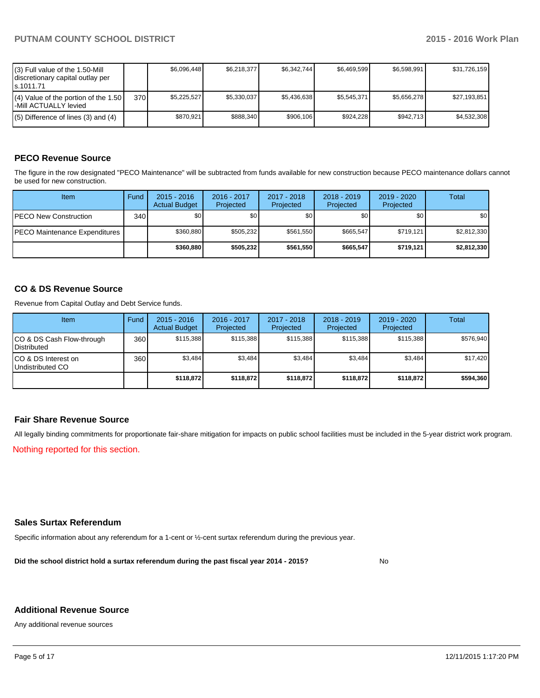| (3) Full value of the 1.50-Mill<br>discretionary capital outlay per<br>ls.1011.71 |     | \$6.096.448 | \$6,218,377 | \$6.342.744 | \$6.469.599 | \$6.598.991 | \$31,726,159 |
|-----------------------------------------------------------------------------------|-----|-------------|-------------|-------------|-------------|-------------|--------------|
| $(4)$ Value of the portion of the 1.50<br>l-Mill ACTUALLY levied                  | 370 | \$5.225.527 | \$5,330,037 | \$5.436.638 | \$5.545.371 | \$5.656.278 | \$27,193,851 |
| $(5)$ Difference of lines (3) and (4)                                             |     | \$870.921   | \$888,340   | \$906.106   | \$924.228   | \$942.713   | \$4,532,308  |

# **PECO Revenue Source**

The figure in the row designated "PECO Maintenance" will be subtracted from funds available for new construction because PECO maintenance dollars cannot be used for new construction.

| Item                                  | Fund             | $2015 - 2016$<br><b>Actual Budget</b> | 2016 - 2017<br>Projected | 2017 - 2018<br>Projected | $2018 - 2019$<br>Projected | $2019 - 2020$<br>Projected | Total       |
|---------------------------------------|------------------|---------------------------------------|--------------------------|--------------------------|----------------------------|----------------------------|-------------|
| <b>PECO New Construction</b>          | 340 <sup>l</sup> | \$0 <sub>1</sub>                      | \$0                      | \$0 <sub>1</sub>         | \$0 <sub>0</sub>           | \$0                        | \$0         |
| <b>IPECO Maintenance Expenditures</b> |                  | \$360.880                             | \$505.232                | \$561.550                | \$665.547                  | \$719.121                  | \$2,812,330 |
|                                       |                  | \$360,880                             | \$505,232                | \$561.550                | \$665,547                  | \$719.121                  | \$2,812,330 |

## **CO & DS Revenue Source**

Revenue from Capital Outlay and Debt Service funds.

| <b>Item</b>                                        | Fund | $2015 - 2016$<br><b>Actual Budget</b> | 2016 - 2017<br>Projected | $2017 - 2018$<br>Projected | $2018 - 2019$<br>Projected | 2019 - 2020<br>Projected | Total     |
|----------------------------------------------------|------|---------------------------------------|--------------------------|----------------------------|----------------------------|--------------------------|-----------|
| ICO & DS Cash Flow-through<br><b>I</b> Distributed | 360  | \$115.388                             | \$115,388                | \$115.388                  | \$115.388                  | \$115.388                | \$576,940 |
| ICO & DS Interest on<br>Undistributed CO           | 360  | \$3.484                               | \$3.484                  | \$3.484                    | \$3.484                    | \$3,484                  | \$17,420  |
|                                                    |      | \$118.872                             | \$118,872                | \$118.872                  | \$118.872                  | \$118,872                | \$594,360 |

# **Fair Share Revenue Source**

All legally binding commitments for proportionate fair-share mitigation for impacts on public school facilities must be included in the 5-year district work program.

Nothing reported for this section.

## **Sales Surtax Referendum**

Specific information about any referendum for a 1-cent or ½-cent surtax referendum during the previous year.

**Did the school district hold a surtax referendum during the past fiscal year 2014 - 2015?**

No

#### **Additional Revenue Source**

Any additional revenue sources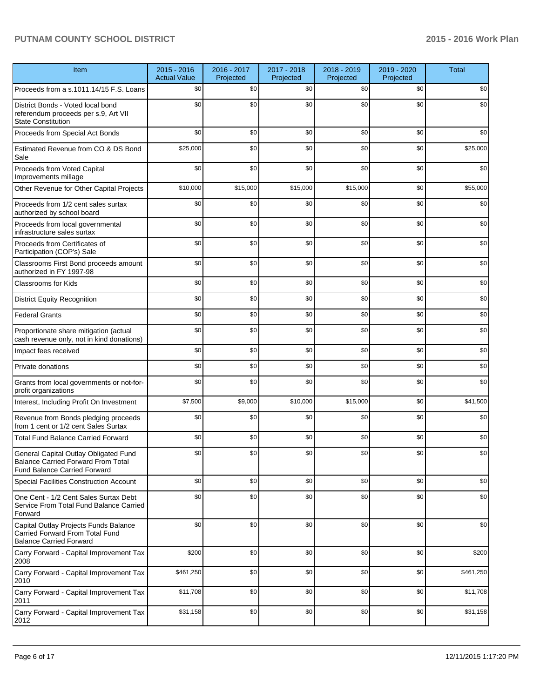| Item                                                                                                               | $2015 - 2016$<br><b>Actual Value</b> | 2016 - 2017<br>Projected | 2017 - 2018<br>Projected | 2018 - 2019<br>Projected | 2019 - 2020<br>Projected | <b>Total</b> |
|--------------------------------------------------------------------------------------------------------------------|--------------------------------------|--------------------------|--------------------------|--------------------------|--------------------------|--------------|
| Proceeds from a s.1011.14/15 F.S. Loans                                                                            | \$0                                  | \$0                      | \$0                      | \$0                      | \$0                      | \$0          |
| District Bonds - Voted local bond<br>referendum proceeds per s.9, Art VII<br><b>State Constitution</b>             | \$0                                  | \$0                      | \$0                      | \$0                      | \$0                      | \$0          |
| Proceeds from Special Act Bonds                                                                                    | \$0                                  | \$0                      | \$0                      | \$0                      | \$0                      | \$0          |
| Estimated Revenue from CO & DS Bond<br>Sale                                                                        | \$25,000                             | \$0                      | \$0                      | \$0                      | \$0                      | \$25,000     |
| Proceeds from Voted Capital<br>Improvements millage                                                                | \$0                                  | \$0                      | \$0                      | \$0                      | \$0                      | \$0          |
| Other Revenue for Other Capital Projects                                                                           | \$10,000                             | \$15,000                 | \$15,000                 | \$15,000                 | \$0                      | \$55,000     |
| Proceeds from 1/2 cent sales surtax<br>authorized by school board                                                  | \$0                                  | \$0                      | \$0                      | \$0                      | \$0                      | \$0          |
| Proceeds from local governmental<br>infrastructure sales surtax                                                    | \$0                                  | \$0                      | \$0                      | \$0                      | \$0                      | \$0          |
| Proceeds from Certificates of<br>Participation (COP's) Sale                                                        | \$0                                  | \$0                      | \$0                      | \$0                      | \$0                      | \$0          |
| Classrooms First Bond proceeds amount<br>authorized in FY 1997-98                                                  | \$0                                  | \$0                      | \$0                      | \$0                      | \$0                      | \$0          |
| <b>Classrooms for Kids</b>                                                                                         | \$0                                  | \$0                      | \$0                      | \$0                      | \$0                      | \$0          |
| <b>District Equity Recognition</b>                                                                                 | \$0                                  | \$0                      | \$0                      | \$0                      | \$0                      | \$0          |
| <b>Federal Grants</b>                                                                                              | \$0                                  | \$0                      | \$0                      | \$0                      | \$0                      | \$0          |
| Proportionate share mitigation (actual<br>cash revenue only, not in kind donations)                                | \$0                                  | \$0                      | \$0                      | \$0                      | \$0                      | \$0          |
| Impact fees received                                                                                               | \$0                                  | \$0                      | \$0                      | \$0                      | \$0                      | \$0          |
| Private donations                                                                                                  | \$0                                  | \$0                      | \$0                      | \$0                      | \$0                      | \$0          |
| Grants from local governments or not-for-<br>profit organizations                                                  | \$0                                  | \$0                      | \$0                      | \$0                      | \$0                      | \$0          |
| Interest, Including Profit On Investment                                                                           | \$7,500                              | \$9,000                  | \$10,000                 | \$15,000                 | \$0                      | \$41,500     |
| Revenue from Bonds pledging proceeds<br>from 1 cent or 1/2 cent Sales Surtax                                       | \$0                                  | \$0                      | \$0                      | \$0                      | \$0                      | \$0          |
| <b>Total Fund Balance Carried Forward</b>                                                                          | \$0                                  | \$0                      | \$0                      | \$0                      | \$0                      | \$0          |
| General Capital Outlay Obligated Fund<br><b>Balance Carried Forward From Total</b><br>Fund Balance Carried Forward | \$0                                  | \$0                      | \$0                      | \$0                      | \$0                      | \$0          |
| Special Facilities Construction Account                                                                            | \$0                                  | \$0                      | \$0                      | \$0                      | \$0                      | \$0          |
| One Cent - 1/2 Cent Sales Surtax Debt<br>Service From Total Fund Balance Carried<br>Forward                        | \$0                                  | \$0                      | \$0                      | \$0                      | \$0                      | \$0          |
| Capital Outlay Projects Funds Balance<br>Carried Forward From Total Fund<br><b>Balance Carried Forward</b>         | \$0                                  | \$0                      | \$0                      | \$0                      | \$0                      | \$0          |
| Carry Forward - Capital Improvement Tax<br>2008                                                                    | \$200                                | \$0                      | \$0                      | \$0                      | \$0                      | \$200        |
| Carry Forward - Capital Improvement Tax<br>2010                                                                    | \$461,250                            | \$0                      | \$0                      | \$0                      | \$0                      | \$461,250    |
| Carry Forward - Capital Improvement Tax<br>2011                                                                    | \$11,708                             | \$0                      | \$0                      | \$0                      | \$0                      | \$11,708     |
| Carry Forward - Capital Improvement Tax<br>2012                                                                    | \$31,158                             | \$0                      | \$0                      | \$0                      | \$0                      | \$31,158     |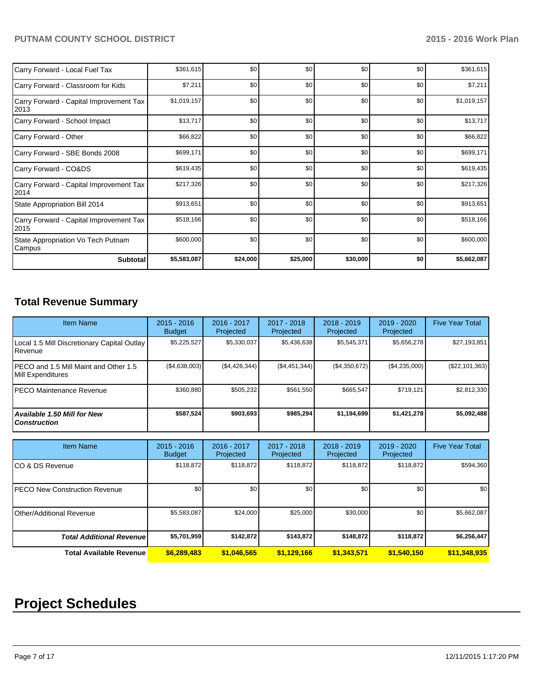| Carry Forward - Local Fuel Tax                   | \$361,615   | \$0              | \$0      | \$0      | \$0 | \$361,615   |
|--------------------------------------------------|-------------|------------------|----------|----------|-----|-------------|
| Carry Forward - Classroom for Kids               | \$7,211     | \$0 <sub>1</sub> | \$0      | \$0      | \$0 | \$7,211     |
| Carry Forward - Capital Improvement Tax<br>2013  | \$1,019,157 | \$0              | \$0      | \$0      | \$0 | \$1,019,157 |
| Carry Forward - School Impact                    | \$13,717    | \$0              | \$0      | \$0      | \$0 | \$13,717    |
| Carry Forward - Other                            | \$66,822    | \$0              | \$0      | \$0      | \$0 | \$66,822    |
| Carry Forward - SBE Bonds 2008                   | \$699,171   | \$0              | \$0      | \$0      | \$0 | \$699,171   |
| Carry Forward - CO&DS                            | \$619,435   | \$0              | \$0      | \$0      | \$0 | \$619,435   |
| Carry Forward - Capital Improvement Tax<br>2014  | \$217,326   | \$0              | \$0      | \$0      | \$0 | \$217,326   |
| State Appropriation Bill 2014                    | \$913,651   | \$0              | \$0      | \$0      | \$0 | \$913,651   |
| Carry Forward - Capital Improvement Tax<br> 2015 | \$518,166   | \$0              | \$0      | \$0      | \$0 | \$518,166   |
| State Appropriation Vo Tech Putnam<br>Campus     | \$600,000   | \$0              | \$0      | \$0      | \$0 | \$600,000   |
| <b>Subtotal</b>                                  | \$5,583,087 | \$24,000         | \$25,000 | \$30,000 | \$0 | \$5,662,087 |

# **Total Revenue Summary**

| <b>Item Name</b>                                                | $2015 - 2016$<br><b>Budget</b> | 2016 - 2017<br>Projected | 2017 - 2018<br>Projected | $2018 - 2019$<br>Projected | $2019 - 2020$<br>Projected | <b>Five Year Total</b> |
|-----------------------------------------------------------------|--------------------------------|--------------------------|--------------------------|----------------------------|----------------------------|------------------------|
| Local 1.5 Mill Discretionary Capital Outlay<br><b>I</b> Revenue | \$5,225,527                    | \$5,330,037              | \$5,436,638              | \$5,545,371                | \$5,656,278                | \$27,193,851           |
| IPECO and 1.5 Mill Maint and Other 1.5<br>Mill Expenditures     | (\$4,638,003)                  | (S4, 426, 344)           | (\$4,451,344)            | (\$4,350,672)              | (\$4,235,000)              | $(\$22, 101, 363)$     |
| <b>IPECO Maintenance Revenue</b>                                | \$360.880                      | \$505.232                | \$561.550                | \$665,547                  | \$719,121                  | \$2,812,330            |
| Available 1.50 Mill for New<br>l Construction                   | \$587,524                      | \$903,693                | \$985.294                | \$1,194,699                | \$1,421,278                | \$5,092,488            |

| <b>Item Name</b>                      | $2015 - 2016$<br><b>Budget</b> | 2016 - 2017<br>Projected | 2017 - 2018<br>Projected | $2018 - 2019$<br>Projected | 2019 - 2020<br>Projected | <b>Five Year Total</b> |
|---------------------------------------|--------------------------------|--------------------------|--------------------------|----------------------------|--------------------------|------------------------|
| ICO & DS Revenue                      | \$118,872                      | \$118,872                | \$118,872                | \$118,872                  | \$118,872                | \$594,360              |
| <b>IPECO New Construction Revenue</b> | \$0                            | \$0                      | \$0                      | \$0                        | \$0                      | \$0                    |
| <b>Other/Additional Revenue</b>       | \$5,583,087                    | \$24,000                 | \$25,000                 | \$30,000                   | \$0                      | \$5,662,087            |
| <b>Total Additional Revenuel</b>      | \$5,701,959                    | \$142.872                | \$143,872                | \$148,872                  | \$118,872                | \$6,256,447            |
| <b>Total Available Revenue</b>        | \$6,289,483                    | \$1,046,565              | \$1,129,166              | \$1,343,571                | \$1,540,150              | \$11,348,935           |

# **Project Schedules**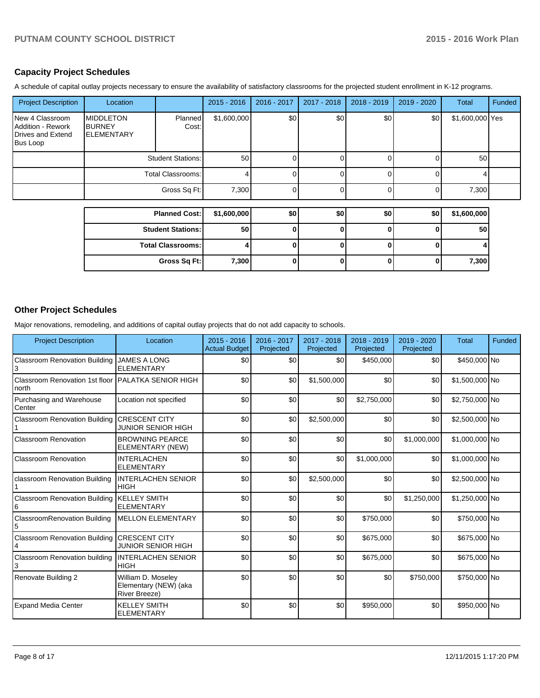# **Capacity Project Schedules**

A schedule of capital outlay projects necessary to ensure the availability of satisfactory classrooms for the projected student enrollment in K-12 programs.

| <b>Project Description</b>                                                   | Location                                                |                          | $2015 - 2016$ | 2016 - 2017 | 2017 - 2018 | 2018 - 2019 | $2019 - 2020$ | <b>Total</b>    | Funded |
|------------------------------------------------------------------------------|---------------------------------------------------------|--------------------------|---------------|-------------|-------------|-------------|---------------|-----------------|--------|
| New 4 Classroom<br><b>Addition - Rework</b><br>Drives and Extend<br>Bus Loop | <b>MIDDLETON</b><br><b>BURNEY</b><br><b>IELEMENTARY</b> | Planned<br>Cost:         | \$1,600,000   | \$0         | \$0         | \$0         | \$0           | \$1,600,000 Yes |        |
|                                                                              | <b>Student Stations:</b>                                |                          | 50            |             |             |             |               | 50              |        |
|                                                                              | Total Classrooms:                                       |                          |               |             | 0           |             |               |                 |        |
|                                                                              |                                                         | Gross Sq Ft:             | 7,300         |             | 0           |             |               | 7,300           |        |
|                                                                              |                                                         |                          |               |             |             |             |               |                 |        |
|                                                                              | <b>Planned Cost:</b>                                    |                          | \$1,600,000   | \$0         | \$0         | \$0         | \$0           | \$1,600,000     |        |
|                                                                              |                                                         | <b>Student Stations:</b> | 50            |             | 0           |             |               | 50              |        |

| <b>Student Stations:</b> | 50    |  |  | 50    |
|--------------------------|-------|--|--|-------|
| <b>Total Classrooms:</b> |       |  |  |       |
| Gross Sq Ft:             | 7,300 |  |  | 7,300 |

# **Other Project Schedules**

Major renovations, remodeling, and additions of capital outlay projects that do not add capacity to schools.

| <b>Project Description</b>               | Location                                                            | $2015 - 2016$<br><b>Actual Budget</b> | 2016 - 2017<br>Projected | 2017 - 2018<br>Projected | $2018 - 2019$<br>Projected | $2019 - 2020$<br>Projected | <b>Total</b>   | Funded |
|------------------------------------------|---------------------------------------------------------------------|---------------------------------------|--------------------------|--------------------------|----------------------------|----------------------------|----------------|--------|
| <b>Classroom Renovation Building</b>     | <b>JAMES A LONG</b><br><b>ELEMENTARY</b>                            | \$0                                   | \$0                      | \$0                      | \$450.000                  | \$0                        | \$450,000 No   |        |
| Classroom Renovation 1st floor<br>north  | <b>I</b> PALATKA SENIOR HIGH                                        | \$0                                   | \$0                      | \$1,500,000              | \$0                        | \$0                        | \$1,500,000 No |        |
| Purchasing and Warehouse<br>Center       | Location not specified                                              | \$0                                   | \$0                      | \$0                      | \$2,750,000                | \$0                        | \$2,750,000 No |        |
| <b>Classroom Renovation Building</b>     | <b>CRESCENT CITY</b><br><b>JUNIOR SENIOR HIGH</b>                   | \$0                                   | \$0                      | \$2,500,000              | \$0                        | \$0                        | \$2,500,000 No |        |
| Classroom Renovation                     | <b>BROWNING PEARCE</b><br>ELEMENTARY (NEW)                          | \$0                                   | \$0                      | \$0                      | \$0                        | \$1,000,000                | \$1,000,000 No |        |
| Classroom Renovation                     | <b>INTERLACHEN</b><br><b>ELEMENTARY</b>                             | \$0                                   | \$0                      | \$0                      | \$1,000,000                | \$0                        | \$1,000,000 No |        |
| classroom Renovation Building            | <b>INTERLACHEN SENIOR</b><br><b>HIGH</b>                            | \$0                                   | \$0                      | \$2,500,000              | \$0                        | \$0                        | \$2,500,000 No |        |
| <b>Classroom Renovation Building</b>     | <b>KELLEY SMITH</b><br><b>ELEMENTARY</b>                            | \$0                                   | \$0                      | \$0                      | \$0                        | \$1,250,000                | \$1,250,000 No |        |
| <b>ClassroomRenovation Building</b><br>5 | <b>MELLON ELEMENTARY</b>                                            | \$0                                   | \$0                      | \$0                      | \$750,000                  | \$0                        | \$750,000 No   |        |
| <b>Classroom Renovation Building</b>     | <b>CRESCENT CITY</b><br><b>JUNIOR SENIOR HIGH</b>                   | \$0                                   | \$0                      | \$0                      | \$675,000                  | \$0                        | \$675,000 No   |        |
| <b>Classroom Renovation building</b>     | <b>INTERLACHEN SENIOR</b><br><b>HIGH</b>                            | \$0                                   | \$0                      | \$0                      | \$675,000                  | \$0                        | \$675,000 No   |        |
| Renovate Building 2                      | William D. Moseley<br>Elementary (NEW) (aka<br><b>River Breeze)</b> | \$0                                   | \$0                      | \$0                      | \$0                        | \$750,000                  | \$750,000 No   |        |
| <b>Expand Media Center</b>               | <b>KELLEY SMITH</b><br><b>ELEMENTARY</b>                            | \$0                                   | \$0                      | \$0                      | \$950,000                  | \$0                        | \$950,000 No   |        |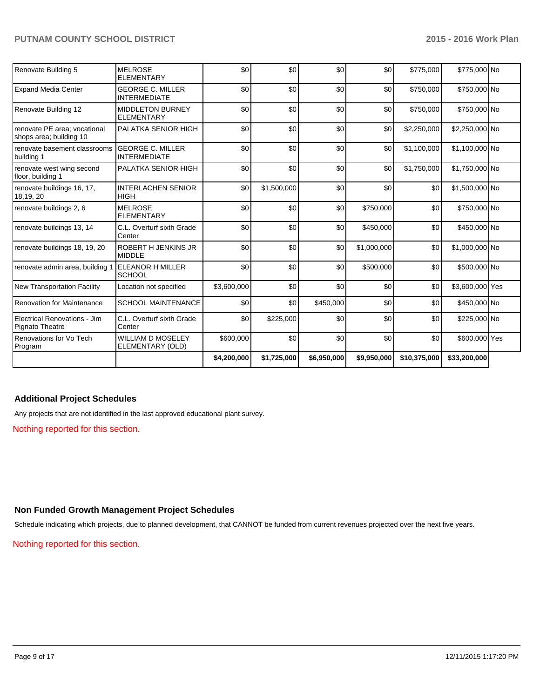| Renovate Building 5                                     | <b>MELROSE</b><br><b>ELEMENTARY</b>            | \$0         | \$0         | \$0         | \$0         | \$775,000    | \$775,000 No    |  |
|---------------------------------------------------------|------------------------------------------------|-------------|-------------|-------------|-------------|--------------|-----------------|--|
| <b>Expand Media Center</b>                              | <b>GEORGE C. MILLER</b><br><b>INTERMEDIATE</b> | \$0         | \$0         | \$0         | \$0         | \$750,000    | \$750,000 No    |  |
| Renovate Building 12                                    | <b>MIDDLETON BURNEY</b><br><b>ELEMENTARY</b>   | \$0         | \$0         | \$0         | \$0         | \$750,000    | \$750,000 No    |  |
| renovate PE area; vocational<br>shops area; building 10 | PALATKA SENIOR HIGH                            | \$0         | \$0         | \$0         | \$0         | \$2,250,000  | \$2,250,000 No  |  |
| renovate basement classrooms<br>building 1              | <b>GEORGE C. MILLER</b><br><b>INTERMEDIATE</b> | \$0         | \$0         | \$0         | \$0         | \$1,100,000  | \$1,100,000 No  |  |
| renovate west wing second<br>floor, building 1          | PALATKA SENIOR HIGH                            | \$0         | \$0         | \$0         | \$0         | \$1,750,000  | \$1,750,000 No  |  |
| renovate buildings 16, 17,<br>18,19, 20                 | <b>INTERLACHEN SENIOR</b><br><b>HIGH</b>       | \$0         | \$1,500,000 | \$0         | \$0         | \$0          | \$1,500,000 No  |  |
| renovate buildings 2, 6                                 | <b>MELROSE</b><br><b>ELEMENTARY</b>            | \$0         | \$0         | \$0         | \$750,000   | \$0          | \$750,000 No    |  |
| renovate buildings 13, 14                               | C.L. Overturf sixth Grade<br>Center            | \$0         | \$0         | \$0         | \$450,000   | \$0          | \$450,000 No    |  |
| renovate buildings 18, 19, 20                           | <b>ROBERT H JENKINS JR</b><br><b>MIDDLE</b>    | \$0         | \$0         | \$0         | \$1,000,000 | \$0          | \$1,000,000 No  |  |
| renovate admin area, building 1                         | <b>ELEANOR H MILLER</b><br><b>SCHOOL</b>       | \$0         | \$0         | \$0         | \$500,000   | \$0          | \$500,000 No    |  |
| <b>New Transportation Facility</b>                      | Location not specified                         | \$3,600,000 | \$0         | \$0         | \$0         | \$0          | \$3,600,000 Yes |  |
| <b>Renovation for Maintenance</b>                       | <b>SCHOOL MAINTENANCE</b>                      | \$0         | \$0         | \$450,000   | \$0         | \$0          | \$450,000 No    |  |
| Electrical Renovations - Jim<br>Pignato Theatre         | C.L. Overturf sixth Grade<br>Center            | \$0         | \$225,000   | \$0         | \$0         | \$0          | \$225,000 No    |  |
| Renovations for Vo Tech<br>Program                      | <b>WILLIAM D MOSELEY</b><br>ELEMENTARY (OLD)   | \$600,000   | \$0         | \$0         | \$0         | \$0          | \$600,000 Yes   |  |
|                                                         |                                                | \$4,200,000 | \$1,725,000 | \$6,950,000 | \$9,950,000 | \$10,375,000 | \$33,200,000    |  |

# **Additional Project Schedules**

Any projects that are not identified in the last approved educational plant survey.

Nothing reported for this section.

#### **Non Funded Growth Management Project Schedules**

Schedule indicating which projects, due to planned development, that CANNOT be funded from current revenues projected over the next five years.

Nothing reported for this section.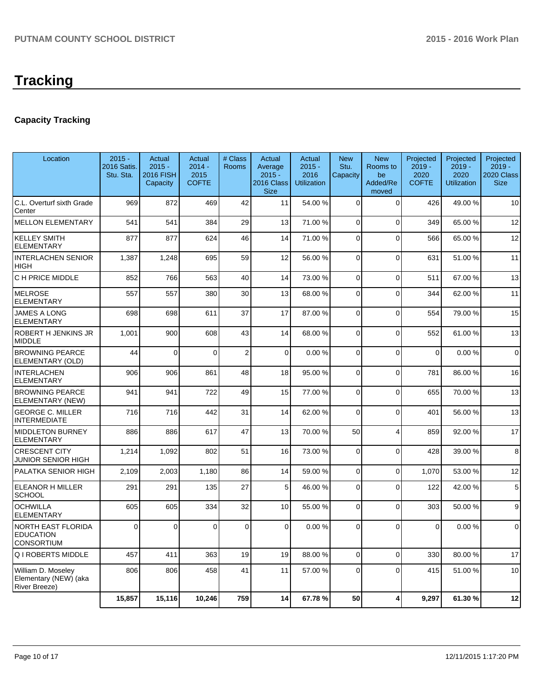# **Capacity Tracking**

| Location                                                            | $2015 -$<br>2016 Satis.<br>Stu. Sta. | Actual<br>$2015 -$<br>2016 FISH<br>Capacity | <b>Actual</b><br>$2014 -$<br>2015<br><b>COFTE</b> | # Class<br>Rooms | Actual<br>Average<br>$2015 -$<br>2016 Class<br><b>Size</b> | Actual<br>$2015 -$<br>2016<br><b>Utilization</b> | <b>New</b><br>Stu.<br>Capacity | <b>New</b><br>Rooms to<br>be<br>Added/Re<br>moved | Projected<br>$2019 -$<br>2020<br><b>COFTE</b> | Projected<br>$2019 -$<br>2020<br><b>Utilization</b> | Projected<br>$2019 -$<br>2020 Class<br><b>Size</b> |
|---------------------------------------------------------------------|--------------------------------------|---------------------------------------------|---------------------------------------------------|------------------|------------------------------------------------------------|--------------------------------------------------|--------------------------------|---------------------------------------------------|-----------------------------------------------|-----------------------------------------------------|----------------------------------------------------|
| C.L. Overturf sixth Grade<br>Center                                 | 969                                  | 872                                         | 469                                               | 42               | 11                                                         | 54.00 %                                          | $\Omega$                       | $\Omega$                                          | 426                                           | 49.00 %                                             | 10                                                 |
| <b>MELLON ELEMENTARY</b>                                            | 541                                  | 541                                         | 384                                               | 29               | 13                                                         | 71.00 %                                          | 0                              | $\Omega$                                          | 349                                           | 65.00 %                                             | 12                                                 |
| <b>KELLEY SMITH</b><br><b>ELEMENTARY</b>                            | 877                                  | 877                                         | 624                                               | 46               | 14                                                         | 71.00 %                                          | $\Omega$                       | $\Omega$                                          | 566                                           | 65.00 %                                             | 12                                                 |
| <b>INTERLACHEN SENIOR</b><br>HIGH                                   | 1,387                                | 1,248                                       | 695                                               | 59               | 12                                                         | 56.00 %                                          | $\Omega$                       | $\Omega$                                          | 631                                           | 51.00%                                              | 11                                                 |
| C H PRICE MIDDLE                                                    | 852                                  | 766                                         | 563                                               | 40               | 14                                                         | 73.00 %                                          | 0                              | $\Omega$                                          | 511                                           | 67.00%                                              | 13                                                 |
| <b>MELROSE</b><br><b>ELEMENTARY</b>                                 | 557                                  | 557                                         | 380                                               | 30               | 13                                                         | 68.00 %                                          | $\mathbf 0$                    | $\Omega$                                          | 344                                           | 62.00%                                              | 11                                                 |
| <b>JAMES A LONG</b><br><b>ELEMENTARY</b>                            | 698                                  | 698                                         | 611                                               | 37               | 17                                                         | 87.00 %                                          | 0                              | $\Omega$                                          | 554                                           | 79.00 %                                             | 15                                                 |
| ROBERT H JENKINS JR<br><b>MIDDLE</b>                                | 1,001                                | 900                                         | 608                                               | 43               | 14                                                         | 68.00 %                                          | $\overline{0}$                 | $\Omega$                                          | 552                                           | 61.00%                                              | 13                                                 |
| <b>BROWNING PEARCE</b><br>ELEMENTARY (OLD)                          | 44                                   | $\Omega$                                    | $\Omega$                                          | $\mathbf 2$      | $\Omega$                                                   | 0.00%                                            | 0                              | $\Omega$                                          | $\Omega$                                      | 0.00%                                               | $\mathbf 0$                                        |
| <b>INTERLACHEN</b><br>ELEMENTARY                                    | 906                                  | 906                                         | 861                                               | 48               | 18                                                         | 95.00 %                                          | 0                              | $\Omega$                                          | 781                                           | 86.00%                                              | 16                                                 |
| <b>BROWNING PEARCE</b><br>ELEMENTARY (NEW)                          | 941                                  | 941                                         | 722                                               | 49               | 15                                                         | 77.00 %                                          | $\Omega$                       | $\Omega$                                          | 655                                           | 70.00%                                              | 13                                                 |
| <b>GEORGE C. MILLER</b><br><b>INTERMEDIATE</b>                      | 716                                  | 716                                         | 442                                               | 31               | 14                                                         | 62.00 %                                          | $\Omega$                       | $\Omega$                                          | 401                                           | 56.00 %                                             | 13                                                 |
| <b>MIDDLETON BURNEY</b><br><b>ELEMENTARY</b>                        | 886                                  | 886                                         | 617                                               | 47               | 13                                                         | 70.00 %                                          | 50                             | $\overline{4}$                                    | 859                                           | 92.00 %                                             | 17                                                 |
| <b>CRESCENT CITY</b><br>JUNIOR SENIOR HIGH                          | 1,214                                | 1,092                                       | 802                                               | 51               | 16                                                         | 73.00 %                                          | $\overline{0}$                 | $\Omega$                                          | 428                                           | 39.00 %                                             | 8                                                  |
| PALATKA SENIOR HIGH                                                 | 2,109                                | 2,003                                       | 1,180                                             | 86               | 14                                                         | 59.00 %                                          | 0                              | $\Omega$                                          | 1.070                                         | 53.00 %                                             | 12                                                 |
| ELEANOR H MILLER<br><b>SCHOOL</b>                                   | 291                                  | 291                                         | 135                                               | 27               | 5                                                          | 46.00 %                                          | $\overline{0}$                 | $\Omega$                                          | 122                                           | 42.00 %                                             | 5                                                  |
| <b>OCHWILLA</b><br><b>ELEMENTARY</b>                                | 605                                  | 605                                         | 334                                               | 32               | 10                                                         | 55.00 %                                          | $\Omega$                       | $\Omega$                                          | 303                                           | 50.00%                                              | 9                                                  |
| <b>NORTH EAST FLORIDA</b><br><b>EDUCATION</b><br><b>CONSORTIUM</b>  | $\Omega$                             | $\Omega$                                    | $\Omega$                                          | $\Omega$         | $\Omega$                                                   | 0.00%                                            | $\Omega$                       | $\Omega$                                          | $\Omega$                                      | 0.00%                                               | $\mathbf 0$                                        |
| <b>Q I ROBERTS MIDDLE</b>                                           | 457                                  | 411                                         | 363                                               | 19               | 19                                                         | 88.00 %                                          | $\mathbf 0$                    | $\Omega$                                          | 330                                           | 80.00%                                              | 17                                                 |
| William D. Moseley<br>Elementary (NEW) (aka<br><b>River Breeze)</b> | 806                                  | 806                                         | 458                                               | 41               | 11                                                         | 57.00 %                                          | $\Omega$                       | $\Omega$                                          | 415                                           | 51.00 %                                             | 10                                                 |
|                                                                     | 15,857                               | 15,116                                      | 10,246                                            | 759              | 14                                                         | 67.78 %                                          | 50                             | Δ                                                 | 9,297                                         | 61.30%                                              | 12                                                 |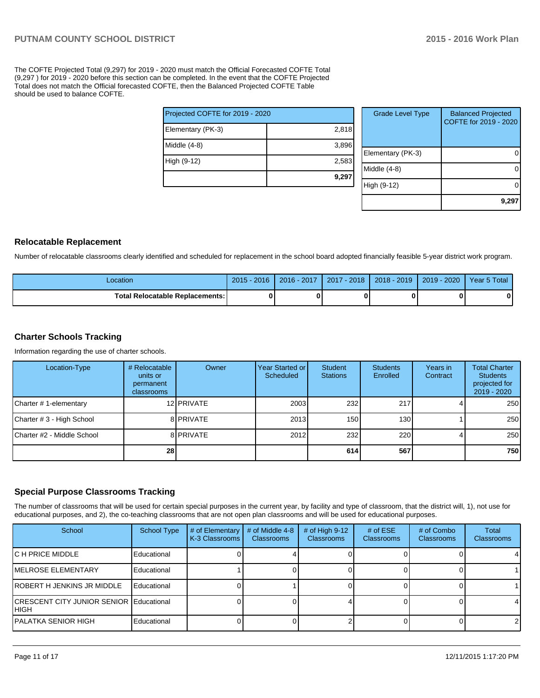The COFTE Projected Total (9,297) for 2019 - 2020 must match the Official Forecasted COFTE Total (9,297 ) for 2019 - 2020 before this section can be completed. In the event that the COFTE Projected Total does not match the Official forecasted COFTE, then the Balanced Projected COFTE Table should be used to balance COFTE.

| Projected COFTE for 2019 - 2020 |       |  |  |  |  |  |
|---------------------------------|-------|--|--|--|--|--|
| Elementary (PK-3)               | 2,818 |  |  |  |  |  |
| Middle (4-8)                    | 3,896 |  |  |  |  |  |
| High (9-12)                     | 2,583 |  |  |  |  |  |
|                                 | 9,297 |  |  |  |  |  |

| <b>Grade Level Type</b> | <b>Balanced Projected</b><br>COFTE for 2019 - 2020 |
|-------------------------|----------------------------------------------------|
| Elementary (PK-3)       |                                                    |
| Middle (4-8)            |                                                    |
| High (9-12)             |                                                    |
|                         | 9,29                                               |

#### **Relocatable Replacement**

Number of relocatable classrooms clearly identified and scheduled for replacement in the school board adopted financially feasible 5-year district work program.

| Location                                 | $2015 - 2016$ | $2016 - 2017$ | 2017 - 2018 | $2018 - 2019$ | 2019 - 2020 | Year 5 Total |
|------------------------------------------|---------------|---------------|-------------|---------------|-------------|--------------|
| <b>Total Relocatable Replacements: I</b> |               |               |             |               |             |              |

# **Charter Schools Tracking**

Information regarding the use of charter schools.

| Location-Type               | # Relocatable<br>units or<br>permanent<br>classrooms | Owner              | Year Started or I<br>Scheduled | Student<br><b>Stations</b> | <b>Students</b><br>Enrolled | Years in<br>Contract | <b>Total Charter</b><br><b>Students</b><br>projected for<br>2019 - 2020 |
|-----------------------------|------------------------------------------------------|--------------------|--------------------------------|----------------------------|-----------------------------|----------------------|-------------------------------------------------------------------------|
| Charter #1-elementary       |                                                      | 12 <b>IPRIVATE</b> | 2003                           | 232                        | 217                         |                      | 250                                                                     |
| Charter # 3 - High School   |                                                      | 8 <b>PRIVATE</b>   | 2013                           | 150 <sup>1</sup>           | 130                         |                      | 250                                                                     |
| ICharter #2 - Middle School |                                                      | 8 <b>PRIVATE</b>   | 2012                           | 232 l                      | 220                         |                      | 250                                                                     |
|                             | 28                                                   |                    |                                | 614                        | 567                         |                      | 750                                                                     |

# **Special Purpose Classrooms Tracking**

The number of classrooms that will be used for certain special purposes in the current year, by facility and type of classroom, that the district will, 1), not use for educational purposes, and 2), the co-teaching classrooms that are not open plan classrooms and will be used for educational purposes.

| School                                                   | <b>School Type</b> | # of Elementary<br>K-3 Classrooms | # of Middle 4-8<br><b>Classrooms</b> | # of High $9-12$<br>Classrooms | # of $ESE$<br><b>Classrooms</b> | # of Combo<br><b>Classrooms</b> | Total<br><b>Classrooms</b> |
|----------------------------------------------------------|--------------------|-----------------------------------|--------------------------------------|--------------------------------|---------------------------------|---------------------------------|----------------------------|
| IC H PRICE MIDDLE                                        | Educational        |                                   |                                      |                                |                                 |                                 | 4                          |
| <b>IMELROSE ELEMENTARY</b>                               | Educational        |                                   |                                      |                                |                                 |                                 |                            |
| IROBERT H JENKINS JR MIDDLE                              | Educational        |                                   |                                      |                                |                                 |                                 |                            |
| <b>ICRESCENT CITY JUNIOR SENIOR Educational</b><br>IHIGH |                    |                                   |                                      |                                |                                 |                                 | 4                          |
| IPALATKA SENIOR HIGH                                     | Educational        |                                   |                                      |                                |                                 |                                 | 2                          |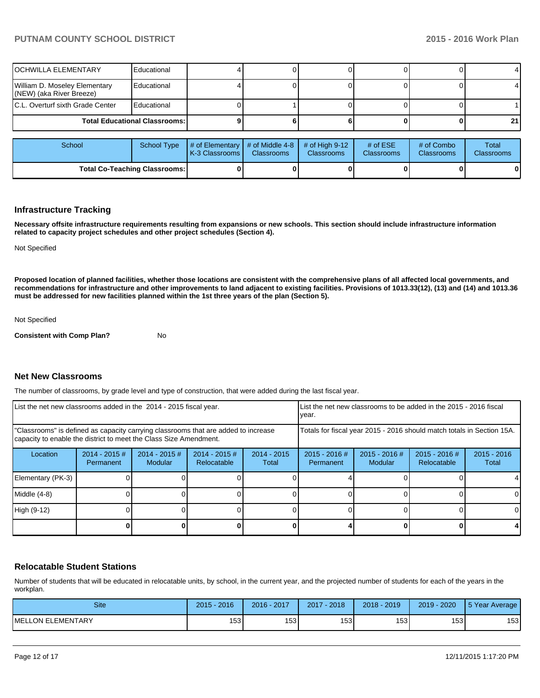| <b>OCHWILLA ELEMENTARY</b>                                | Educational |                                   |                                      |                                |                                 |                          |                     |
|-----------------------------------------------------------|-------------|-----------------------------------|--------------------------------------|--------------------------------|---------------------------------|--------------------------|---------------------|
| William D. Moseley Elementary<br>(NEW) (aka River Breeze) | Educational |                                   |                                      |                                |                                 |                          |                     |
| C.L. Overturf sixth Grade Center                          | Educational |                                   |                                      |                                |                                 |                          |                     |
| <b>Total Educational Classrooms:</b>                      |             |                                   |                                      |                                |                                 | 21                       |                     |
|                                                           |             |                                   |                                      |                                |                                 |                          |                     |
| School                                                    | School Type | # of Elementary<br>K-3 Classrooms | # of Middle 4-8<br><b>Classrooms</b> | # of High $9-12$<br>Classrooms | # of $ESE$<br><b>Classrooms</b> | # of Combo<br>Classrooms | Total<br>Classrooms |
| <b>Total Co-Teaching Classrooms:</b>                      |             |                                   |                                      |                                |                                 |                          |                     |

#### **Infrastructure Tracking**

**Necessary offsite infrastructure requirements resulting from expansions or new schools. This section should include infrastructure information related to capacity project schedules and other project schedules (Section 4).**

Not Specified

**Proposed location of planned facilities, whether those locations are consistent with the comprehensive plans of all affected local governments, and recommendations for infrastructure and other improvements to land adjacent to existing facilities. Provisions of 1013.33(12), (13) and (14) and 1013.36 must be addressed for new facilities planned within the 1st three years of the plan (Section 5).**

Not Specified

**Consistent with Comp Plan?** No

# **Net New Classrooms**

The number of classrooms, by grade level and type of construction, that were added during the last fiscal year.

| List the net new classrooms added in the 2014 - 2015 fiscal year.                                                                                       | List the net new classrooms to be added in the 2015 - 2016 fiscal<br>year. |                                   |                                |                        |                                                                        |                            |                                |                        |
|---------------------------------------------------------------------------------------------------------------------------------------------------------|----------------------------------------------------------------------------|-----------------------------------|--------------------------------|------------------------|------------------------------------------------------------------------|----------------------------|--------------------------------|------------------------|
| "Classrooms" is defined as capacity carrying classrooms that are added to increase<br>capacity to enable the district to meet the Class Size Amendment. |                                                                            |                                   |                                |                        | Totals for fiscal year 2015 - 2016 should match totals in Section 15A. |                            |                                |                        |
| Location                                                                                                                                                | $2014 - 2015 \#$<br>Permanent                                              | $2014 - 2015$ #<br><b>Modular</b> | $2014 - 2015$ #<br>Relocatable | $2014 - 2015$<br>Total | $2015 - 2016$ #<br>Permanent                                           | $2015 - 2016$ #<br>Modular | $2015 - 2016$ #<br>Relocatable | $2015 - 2016$<br>Total |
| Elementary (PK-3)                                                                                                                                       |                                                                            |                                   |                                |                        |                                                                        |                            |                                |                        |
| Middle (4-8)                                                                                                                                            |                                                                            |                                   |                                |                        |                                                                        |                            |                                | 0                      |
| High (9-12)                                                                                                                                             |                                                                            |                                   |                                |                        |                                                                        |                            |                                | $\Omega$               |
|                                                                                                                                                         |                                                                            |                                   |                                |                        |                                                                        |                            |                                |                        |

#### **Relocatable Student Stations**

Number of students that will be educated in relocatable units, by school, in the current year, and the projected number of students for each of the years in the workplan.

| <b>Site</b>               | 2016<br>2015     | 2017<br>2016     | 2018<br>2017 | 2018 - 2019 | 2019 - 2020 | 5 Year Average |
|---------------------------|------------------|------------------|--------------|-------------|-------------|----------------|
| <b>IMELLON ELEMENTARY</b> | 153 <sub>1</sub> | 153 <sub>l</sub> | 1531         | 1531        | 1531        | 153            |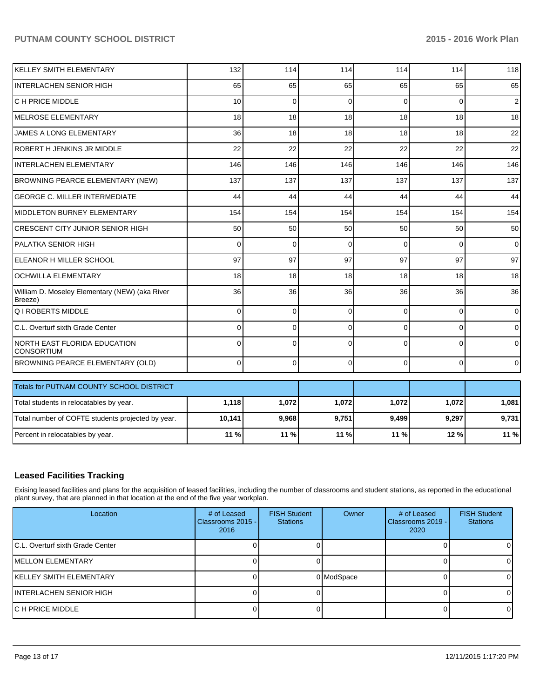| İKELLEY SMITH ELEMENTARY                                  | 132             | 114      | 114          | 114      | 114      | 118            |
|-----------------------------------------------------------|-----------------|----------|--------------|----------|----------|----------------|
| <b>INTERLACHEN SENIOR HIGH</b>                            | 65              | 65       | 65           | 65       | 65       | 65             |
| IC H PRICE MIDDLE                                         | 10              | $\Omega$ | $\Omega$     | $\Omega$ | $\Omega$ | $\overline{2}$ |
| MELROSE ELEMENTARY                                        | 18              | 18       | 18           | 18       | 18       | 18             |
| JAMES A LONG ELEMENTARY                                   | 36              | 18       | 18           | 18       | 18       | 22             |
| ROBERT H JENKINS JR MIDDLE                                | 22              | 22       | 22           | 22       | 22       | 22             |
| <b>INTERLACHEN ELEMENTARY</b>                             | 146             | 146      | 146          | 146      | 146      | 146            |
| BROWNING PEARCE ELEMENTARY (NEW)                          | 137             | 137      | 137          | 137      | 137      | 137            |
| <b>GEORGE C. MILLER INTERMEDIATE</b>                      | 44              | 44       | 44           | 44       | 44       | 44             |
| MIDDLETON BURNEY ELEMENTARY                               | 154             | 154      | 154          | 154      | 154      | 154            |
| <b>CRESCENT CITY JUNIOR SENIOR HIGH</b>                   | 50 <sup>1</sup> | 50       | 50           | 50       | 50       | 50             |
| IPALATKA SENIOR HIGH                                      | $\Omega$        | $\Omega$ | $\Omega$     | $\Omega$ | $\Omega$ | $\overline{0}$ |
| ELEANOR H MILLER SCHOOL                                   | 97              | 97       | 97           | 97       | 97       | 97             |
| <b>OCHWILLA ELEMENTARY</b>                                | 18              | 18       | 18           | 18       | 18       | 18             |
| William D. Moseley Elementary (NEW) (aka River<br>Breeze) | 36              | 36       | 36           | 36       | 36       | 36             |
| <b>Q I ROBERTS MIDDLE</b>                                 | $\Omega$        | $\Omega$ | $\mathbf{0}$ | $\Omega$ | $\Omega$ | $\Omega$       |
| C.L. Overturf sixth Grade Center                          | $\Omega$        | $\Omega$ | $\Omega$     | $\Omega$ | $\Omega$ | $\overline{0}$ |
| NORTH EAST FLORIDA EDUCATION<br><b>CONSORTIUM</b>         | 0               | $\Omega$ | 0            | $\Omega$ | $\Omega$ | $\overline{0}$ |
| BROWNING PEARCE ELEMENTARY (OLD)                          | $\Omega$        | $\Omega$ | $\mathbf{0}$ | $\Omega$ | $\Omega$ | $\overline{0}$ |
| Totals for PUTNAM COUNTY SCHOOL DISTRICT                  |                 |          |              |          |          |                |
|                                                           |                 |          |              |          |          |                |
| Total students in relocatables by year.                   | 1,118           | 1,072    | 1,072        | 1,072    | 1,072    | 1,081          |
| Total number of COFTE students projected by year.         | 10,141          | 9,968    | 9,751        | 9,499    | 9,297    | 9,731          |
| Percent in relocatables by year.                          | 11 %            | 11 %     | 11 %         | 11 %     | 12%      | 11 %           |

# **Leased Facilities Tracking**

Exising leased facilities and plans for the acquisition of leased facilities, including the number of classrooms and student stations, as reported in the educational plant survey, that are planned in that location at the end of the five year workplan.

| Location                          | # of Leased<br>Classrooms 2015 - I<br>2016 | <b>FISH Student</b><br><b>Stations</b> | Owner      | # of Leased<br>Classrooms 2019 - I<br>2020 | <b>FISH Student</b><br><b>Stations</b> |
|-----------------------------------|--------------------------------------------|----------------------------------------|------------|--------------------------------------------|----------------------------------------|
| IC.L. Overturf sixth Grade Center |                                            |                                        |            |                                            |                                        |
| <b>IMELLON ELEMENTARY</b>         |                                            |                                        |            |                                            |                                        |
| IKELLEY SMITH ELEMENTARY          |                                            |                                        | 0 ModSpace |                                            |                                        |
| IINTERLACHEN SENIOR HIGH          |                                            |                                        |            |                                            |                                        |
| IC H PRICE MIDDLE                 |                                            |                                        |            |                                            |                                        |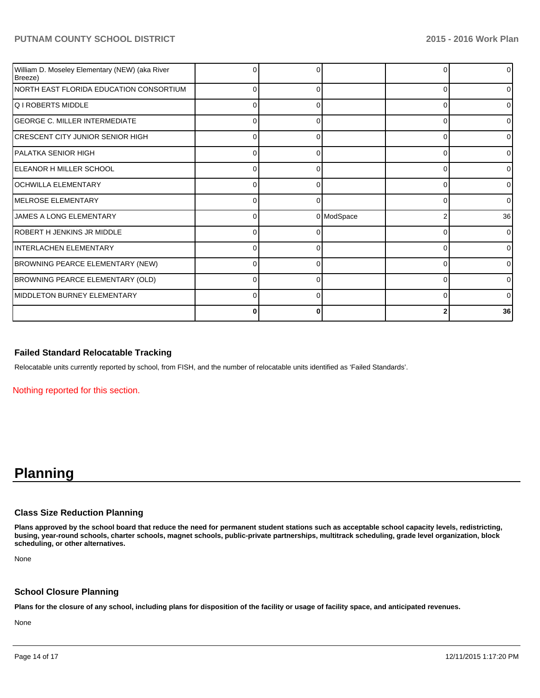| William D. Moseley Elementary (NEW) (aka River<br>Breeze) |          |   |            |   | 01             |
|-----------------------------------------------------------|----------|---|------------|---|----------------|
| NORTH EAST FLORIDA EDUCATION CONSORTIUM                   | 0        |   |            |   | 01             |
| lQ I ROBERTS MIDDLE                                       | 0        | 0 |            | 0 | 01             |
| <b>GEORGE C. MILLER INTERMEDIATE</b>                      | $\Omega$ |   |            | n | $\overline{0}$ |
| CRESCENT CITY JUNIOR SENIOR HIGH                          | C        |   |            |   | 01             |
| IPALATKA SENIOR HIGH                                      | 0        |   |            | ŋ | 01             |
| ELEANOR H MILLER SCHOOL                                   | $\Omega$ | O |            | ∩ | 0              |
| OCHWILLA ELEMENTARY                                       | U        |   |            |   | 0              |
| <b>IMELROSE ELEMENTARY</b>                                | 0        | 0 |            | C | $\overline{0}$ |
| JAMES A LONG ELEMENTARY                                   | 0        |   | 0 ModSpace | 2 | 36             |
| ROBERT H JENKINS JR MIDDLE                                | O        |   |            |   | $\overline{0}$ |
| INTERLACHEN ELEMENTARY                                    | C        |   |            |   | 01             |
| <b>BROWNING PEARCE ELEMENTARY (NEW)</b>                   | 0        |   |            | ∩ | 0              |
| BROWNING PEARCE ELEMENTARY (OLD)                          | U        |   |            | r | 0              |
| IMIDDLETON BURNEY ELEMENTARY                              | C        |   |            |   | 0              |
|                                                           | 0        | 0 |            |   | 36             |

# **Failed Standard Relocatable Tracking**

Relocatable units currently reported by school, from FISH, and the number of relocatable units identified as 'Failed Standards'.

Nothing reported for this section.

# **Planning**

# **Class Size Reduction Planning**

**Plans approved by the school board that reduce the need for permanent student stations such as acceptable school capacity levels, redistricting, busing, year-round schools, charter schools, magnet schools, public-private partnerships, multitrack scheduling, grade level organization, block scheduling, or other alternatives.**

None

#### **School Closure Planning**

**Plans for the closure of any school, including plans for disposition of the facility or usage of facility space, and anticipated revenues.**

None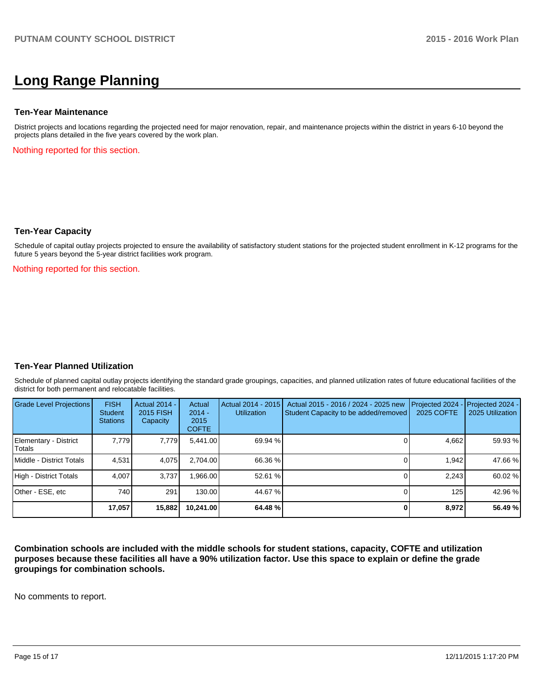# **Long Range Planning**

#### **Ten-Year Maintenance**

District projects and locations regarding the projected need for major renovation, repair, and maintenance projects within the district in years 6-10 beyond the projects plans detailed in the five years covered by the work plan.

Nothing reported for this section.

#### **Ten-Year Capacity**

Schedule of capital outlay projects projected to ensure the availability of satisfactory student stations for the projected student enrollment in K-12 programs for the future 5 years beyond the 5-year district facilities work program.

Nothing reported for this section.

#### **Ten-Year Planned Utilization**

Schedule of planned capital outlay projects identifying the standard grade groupings, capacities, and planned utilization rates of future educational facilities of the district for both permanent and relocatable facilities.

| Grade Level Projections         | <b>FISH</b><br>Student<br><b>Stations</b> | <b>Actual 2014 -</b><br>2015 FISH<br>Capacity | Actual<br>$2014 -$<br>2015<br><b>COFTE</b> | Actual 2014 - 2015<br><b>Utilization</b> | Actual 2015 - 2016 / 2024 - 2025 new<br>Student Capacity to be added/removed | Projected 2024<br>2025 COFTE | $-$ Projected 2024 -<br>2025 Utilization |
|---------------------------------|-------------------------------------------|-----------------------------------------------|--------------------------------------------|------------------------------------------|------------------------------------------------------------------------------|------------------------------|------------------------------------------|
| Elementary - District<br>Totals | 7.779                                     | 7,779                                         | 5,441.00                                   | 69.94 %                                  |                                                                              | 4,662                        | 59.93 %                                  |
| Middle - District Totals        | 4.531                                     | 4,075                                         | 2.704.00                                   | 66.36 %                                  |                                                                              | 1.942                        | 47.66 %                                  |
| High - District Totals          | 4.007                                     | 3.737                                         | .966.00                                    | 52.61 %                                  |                                                                              | 2.243                        | 60.02 %                                  |
| Other - ESE, etc                | 740                                       | 291                                           | 130.00                                     | 44.67 %                                  |                                                                              | 125                          | 42.96 %                                  |
|                                 | 17,057                                    | 15,882                                        | 10,241.00                                  | 64.48 %                                  |                                                                              | 8,972                        | 56.49 %                                  |

**Combination schools are included with the middle schools for student stations, capacity, COFTE and utilization purposes because these facilities all have a 90% utilization factor. Use this space to explain or define the grade groupings for combination schools.**

No comments to report.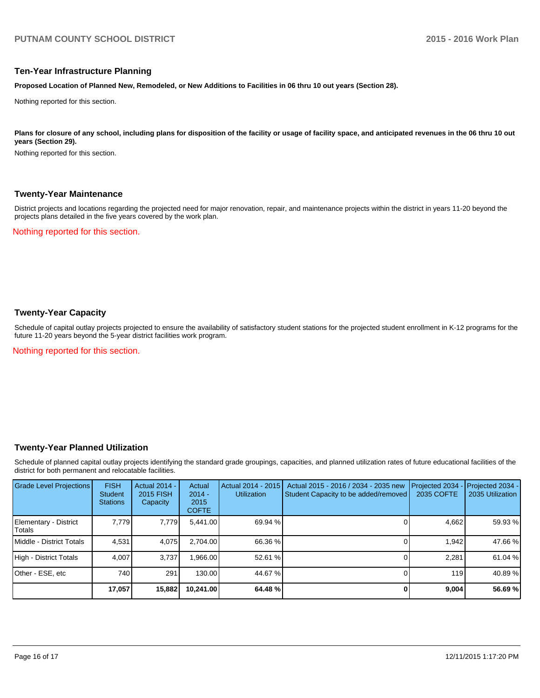#### **Ten-Year Infrastructure Planning**

**Proposed Location of Planned New, Remodeled, or New Additions to Facilities in 06 thru 10 out years (Section 28).**

Nothing reported for this section.

Plans for closure of any school, including plans for disposition of the facility or usage of facility space, and anticipated revenues in the 06 thru 10 out **years (Section 29).**

Nothing reported for this section.

#### **Twenty-Year Maintenance**

District projects and locations regarding the projected need for major renovation, repair, and maintenance projects within the district in years 11-20 beyond the projects plans detailed in the five years covered by the work plan.

Nothing reported for this section.

# **Twenty-Year Capacity**

Schedule of capital outlay projects projected to ensure the availability of satisfactory student stations for the projected student enrollment in K-12 programs for the future 11-20 years beyond the 5-year district facilities work program.

Nothing reported for this section.

#### **Twenty-Year Planned Utilization**

Schedule of planned capital outlay projects identifying the standard grade groupings, capacities, and planned utilization rates of future educational facilities of the district for both permanent and relocatable facilities.

| Grade Level Projections         | <b>FISH</b><br><b>Student</b><br><b>Stations</b> | <b>Actual 2014 -</b><br>2015 FISH<br>Capacity | Actual<br>$2014 -$<br>2015<br><b>COFTE</b> | Actual 2014 - 2015<br><b>Utilization</b> | Actual 2015 - 2016 / 2034 - 2035 new<br>Student Capacity to be added/removed | Projected 2034<br>2035 COFTE | Projected 2034 -<br>2035 Utilization |
|---------------------------------|--------------------------------------------------|-----------------------------------------------|--------------------------------------------|------------------------------------------|------------------------------------------------------------------------------|------------------------------|--------------------------------------|
| Elementary - District<br>Totals | 7.779                                            | 7,779                                         | 5.441.00                                   | 69.94 %                                  |                                                                              | 4,662                        | 59.93 %                              |
| Middle - District Totals        | 4.531                                            | 4,075                                         | 2.704.00                                   | 66.36 %                                  |                                                                              | 1.942                        | 47.66 %                              |
| High - District Totals          | 4.007                                            | 3.737                                         | .966.00                                    | 52.61 %                                  |                                                                              | 2.281                        | 61.04 %                              |
| Other - ESE, etc                | 740                                              | 291                                           | 130.00                                     | 44.67 %                                  |                                                                              | 119                          | 40.89 %                              |
|                                 | 17,057                                           | 15,882                                        | 10,241.00                                  | 64.48 %                                  |                                                                              | 9,004                        | 56.69 %                              |